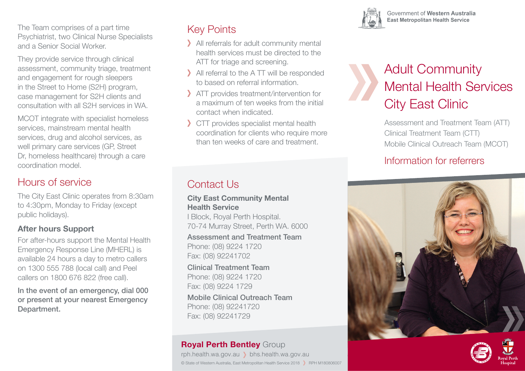The Team comprises of a part time Psychiatrist, two Clinical Nurse Specialists and a Senior Social Worker.

They provide service through clinical assessment, community triage, treatment and engagement for rough sleepers in the Street to Home (S2H) program, case management for S2H clients and consultation with all S2H services in WA.

MCOT integrate with specialist homeless services, mainstream mental health services, drug and alcohol services, as well primary care services (GP, Street Dr, homeless healthcare) through a care coordination model.

#### Hours of service

The City East Clinic operates from 8:30am to 4:30pm, Monday to Friday (except public holidays).

#### **After hours Support**

For after-hours support the Mental Health Emergency Response Line (MHERL) is available 24 hours a day to metro callers on 1300 555 788 (local call) and Peel callers on 1800 676 822 (free call).

In the event of an emergency, dial 000 or present at your nearest Emergency Department.

# Key Points

- All referrals for adult community mental health services must be directed to the ATT for triage and screening.
- All referral to the A TT will be responded to based on referral information.
- ATT provides treatment/intervention for a maximum of ten weeks from the initial contact when indicated.
- CTT provides specialist mental health coordination for clients who require more than ten weeks of care and treatment.

# Contact Us

**City East Community Mental Health Service**

I Block, Royal Perth Hospital. 70-74 Murray Street, Perth WA. 6000

Assessment and Treatment Team Phone: (08) 9224 1720 Fax: (08) 92241702

Clinical Treatment Team Phone: (08) 9224 1720 Fax: (08) 9224 1729 Mobile Clinical Outreach Team Phone: (08) 92241720 Fax: (08) 92241729

#### **Royal Perth Bentley** Group

rph.health.wa.gov.au bhs.health.wa.gov.au © State of Western Australia, East Metropolitan Health Service 2018 > RPH M180806007



Government of Western Australia **East Metropolitan Health Service** 

# Adult Community Mental Health Services City East Clinic

Assessment and Treatment Team (ATT) Clinical Treatment Team (CTT) Mobile Clinical Outreach Team (MCOT)

## Information for referrers